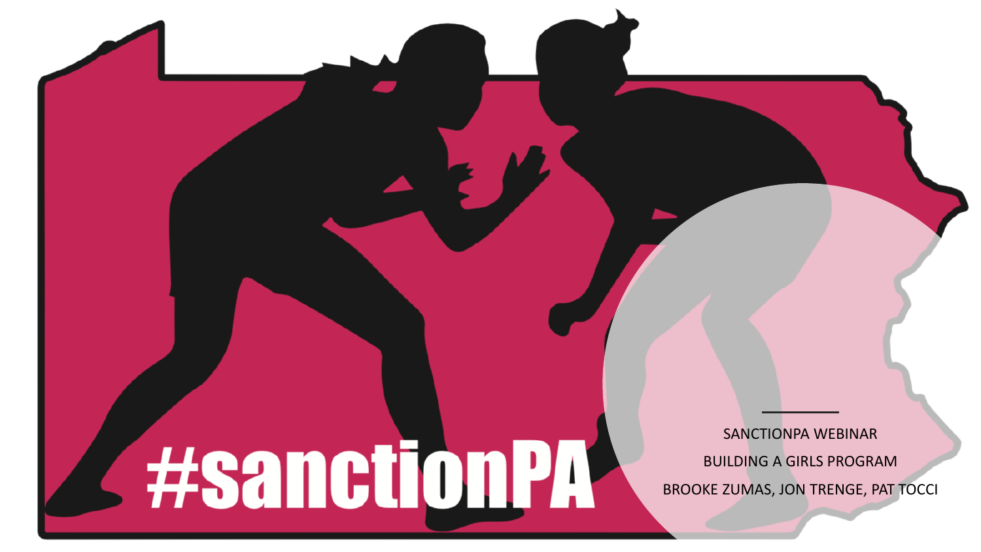**A** #sanctionPA

SANCTIONPA WEBINAR BUILDING A GIRLS PROGRAM BROOKE ZUMAS, JON TRENGE, PAT TOCCI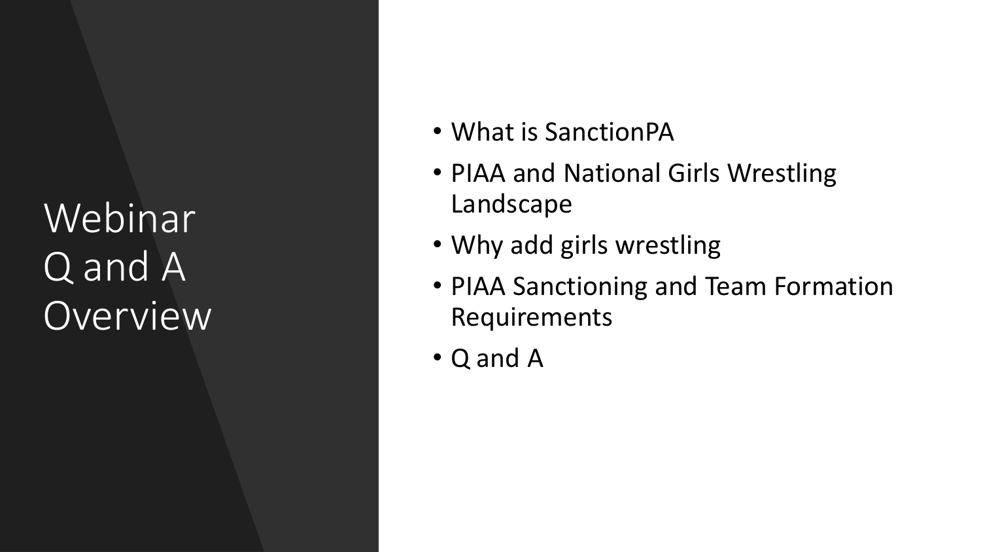Webinar Q and A Overview

- What is SanctionPA
- PIAA and National Girls Wrestling Landscape
- Why add girls wrestling
- PIAA Sanctioning and Team Formation Requirements
- Q and A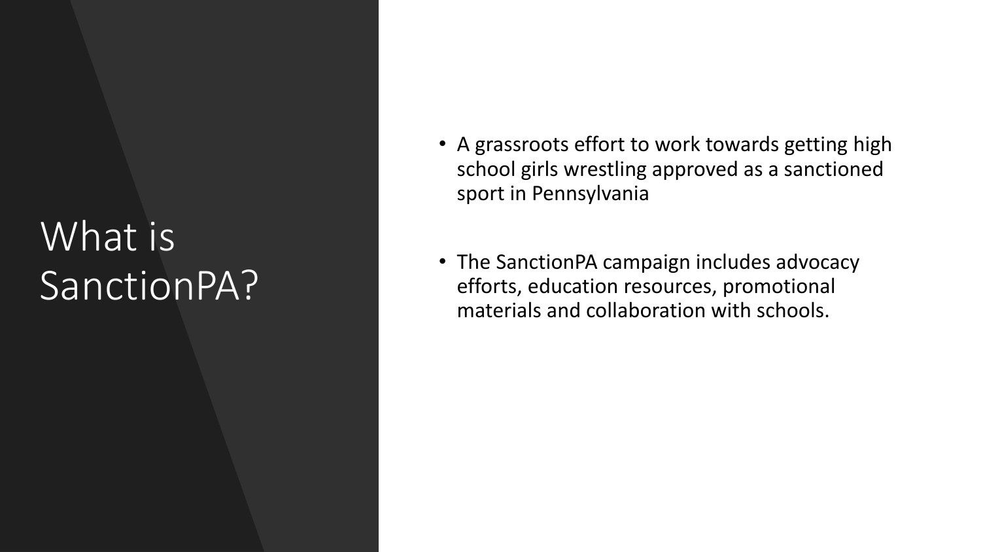# What is SanctionPA ?

- A grassroots effort to work towards getting high school girls wrestling approved as a sanctioned sport in Pennsylvania
- The SanctionPA campaign includes advocacy efforts, education resources, promotional materials and collaboration with schools.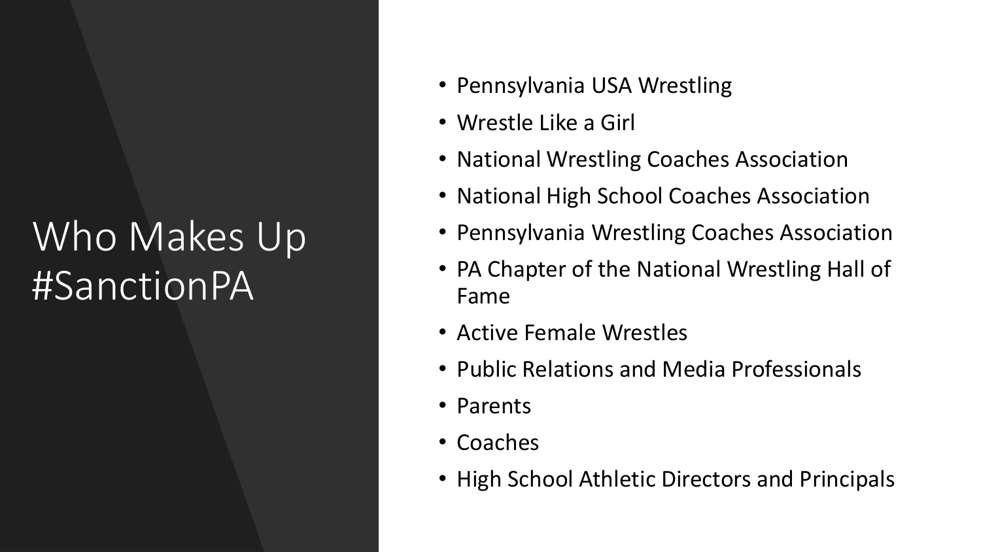# Who Makes Up #SanctionPA

- Pennsylvania USA Wrestling
- Wrestle Like a Girl
- National Wrestling Coaches Association
- National High School Coaches Association
- Pennsylvania Wrestling Coaches Association
- PA Chapter of the National Wrestling Hall of Fame
- Active Female Wrestles
- Public Relations and Media Professionals
- Parents
- Coaches
- High School Athletic Directors and Principals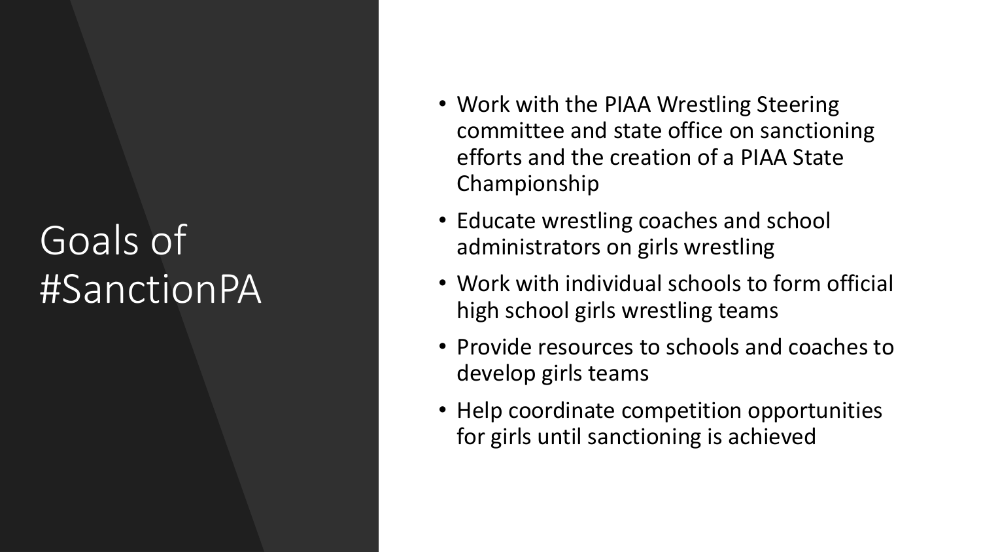# Goals of #SanctionPA

- Work with the PIAA Wrestling Steering committee and state office on sanctioning efforts and the creation of a PIAA State Championship
- Educate wrestling coaches and school administrators on girls wrestling
- Work with individual schools to form official high school girls wrestling teams
- Provide resources to schools and coaches to develop girls teams
- Help coordinate competition opportunities for girls until sanctioning is achieved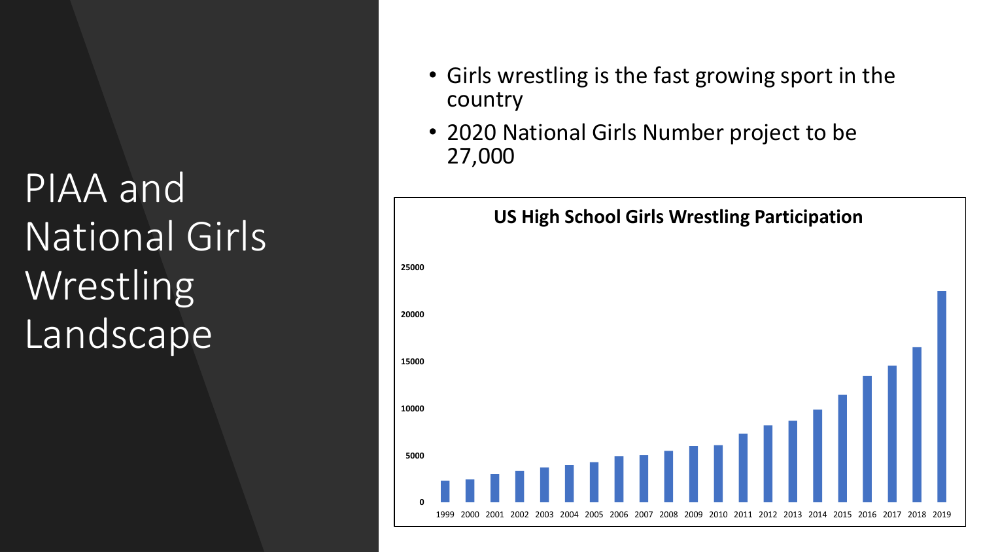PIAA and National Girls **Wrestling** Landscape<sup>1</sup>

- Girls wrestling is the fast growing sport in the country
- 2020 National Girls Number project to be 27,000

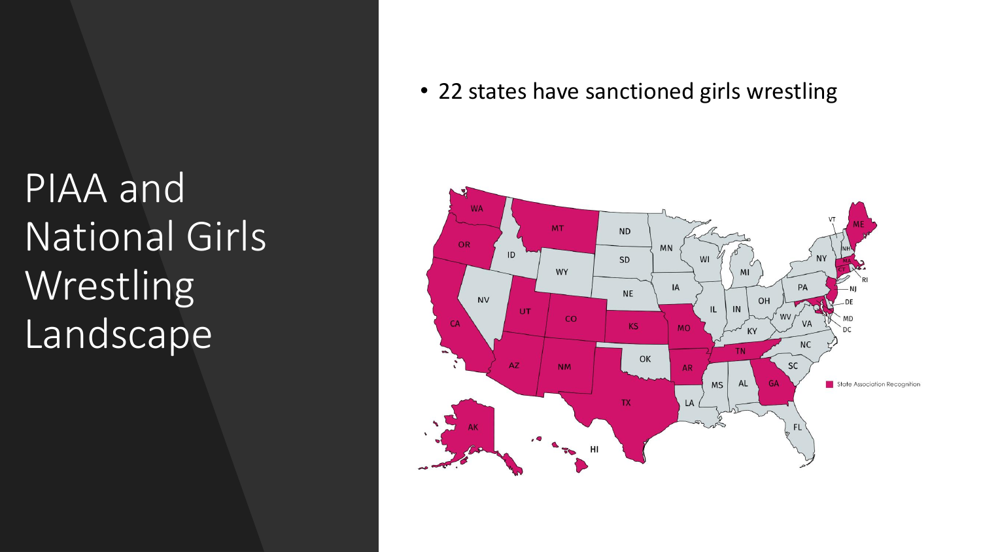PIAA and National Girls Wrestling Landscape

• 22 states have sanctioned girls wrestling

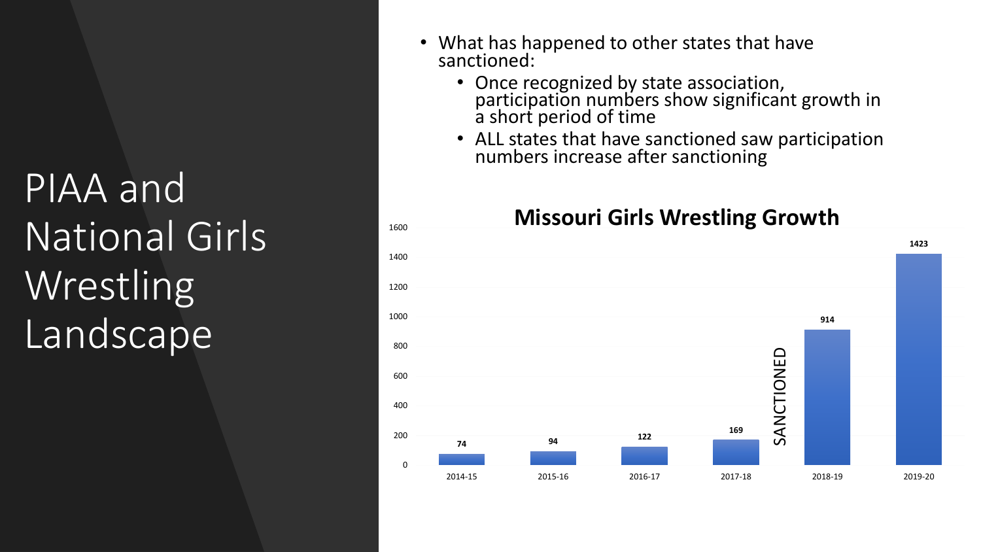PIAA and National Girls Wrestling Landscape

- What has happened to other states that have sanctioned:
	- Once recognized by state association, participation numbers show significant growth in a short period of time
	- ALL states that have sanctioned saw participation numbers increase after sanctioning

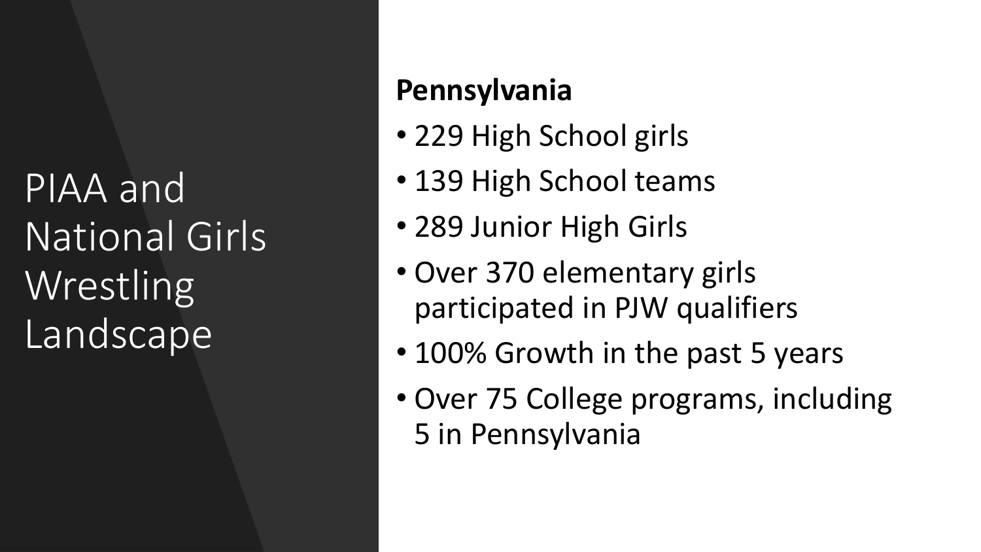PIAA and National Girls Wrestling Landscape

#### **Pennsylvania**

- 229 High School girls
- 139 High School teams
- 289 Junior High Girls
- Over 370 elementary girls participated in PJW qualifiers
- 100% Growth in the past 5 years
- Over 75 College programs, including 5 in Pennsylvania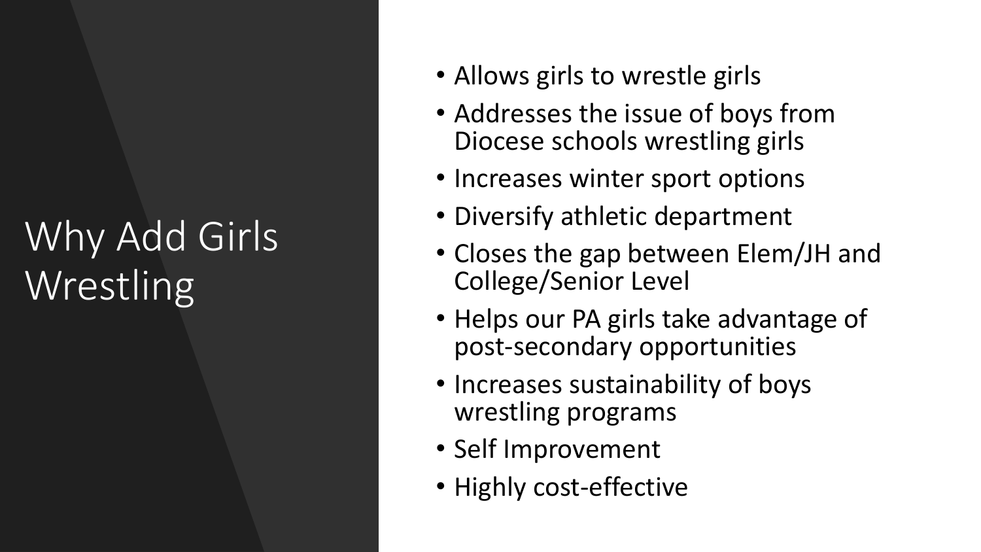# Why Add Girls Wrestling

- Allows girls to wrestle girls
- Addresses the issue of boys from Diocese schools wrestling girls
- Increases winter sport options
- Diversify athletic department
- Closes the gap between Elem/JH and College/Senior Level
- Helps our PA girls take advantage of post-secondary opportunities
- Increases sustainability of boys wrestling programs
- Self Improvement
- Highly cost-effective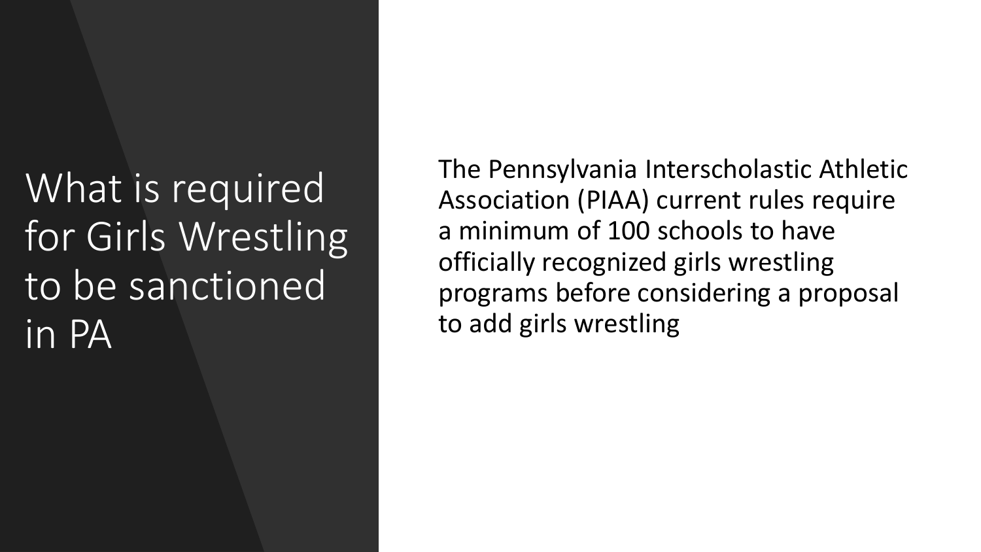What is required for Girls Wrestling to be sanctioned in PA

The Pennsylvania Interscholastic Athletic Association (PIAA) current rules require a minimum of 100 schools to have officially recognized girls wrestling programs before considering a proposal to add girls wrestling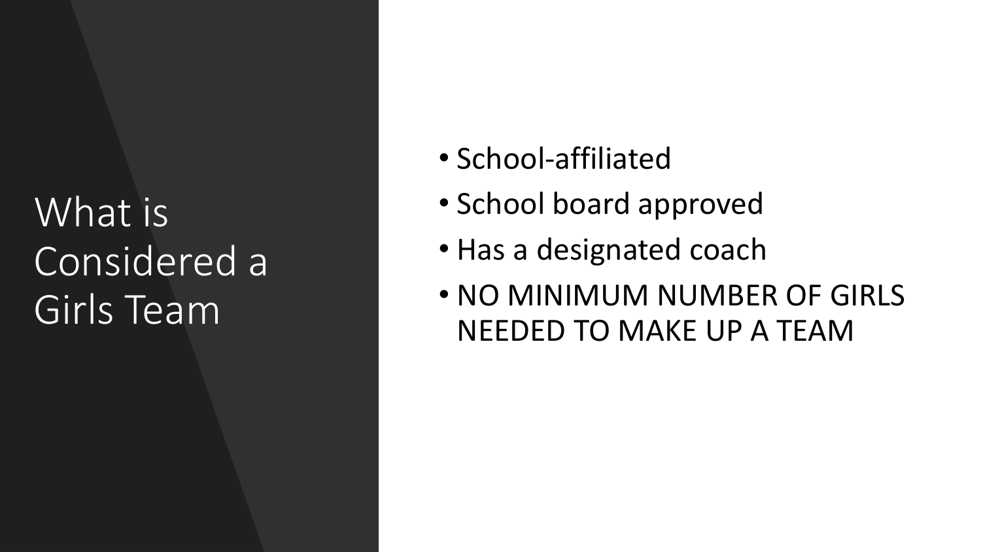## What is Considered a Girls Team

- School-affiliated
- School board approved
- Has a designated coach
- NO MINIMUM NUMBER OF GIRLS NEEDED TO MAKE UP A TEAM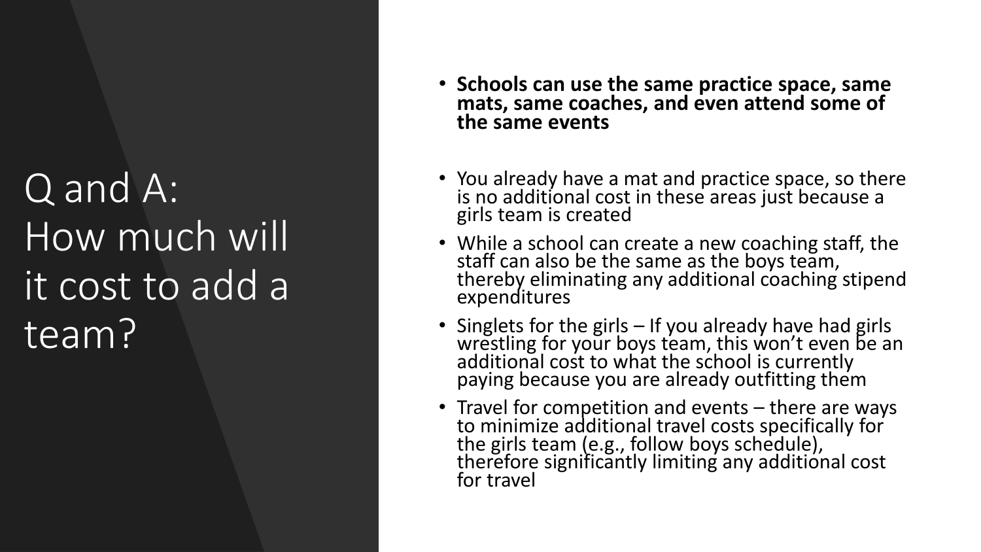# Q and A: How much will it cost to add a team?

- **Schools can use the same practice space, same mats, same coaches, and even attend some of the same events**
- You already have a mat and practice space, so there is no additional cost in these areas just because a girls team is created
- While a school can create a new coaching staff, the staff can also be the same as the boys team, thereby eliminating any additional coaching stipend expenditures
- Singlets for the girls If you already have had girls wrestling for your boys team, this won't even be an additional cost to what the school is currently paying because you are already outfitting them
- Travel for competition and events there are ways to minimize additional travel costs specifically for the girls team (e.g., follow boys schedule), therefore significantly limiting any additional cost for travel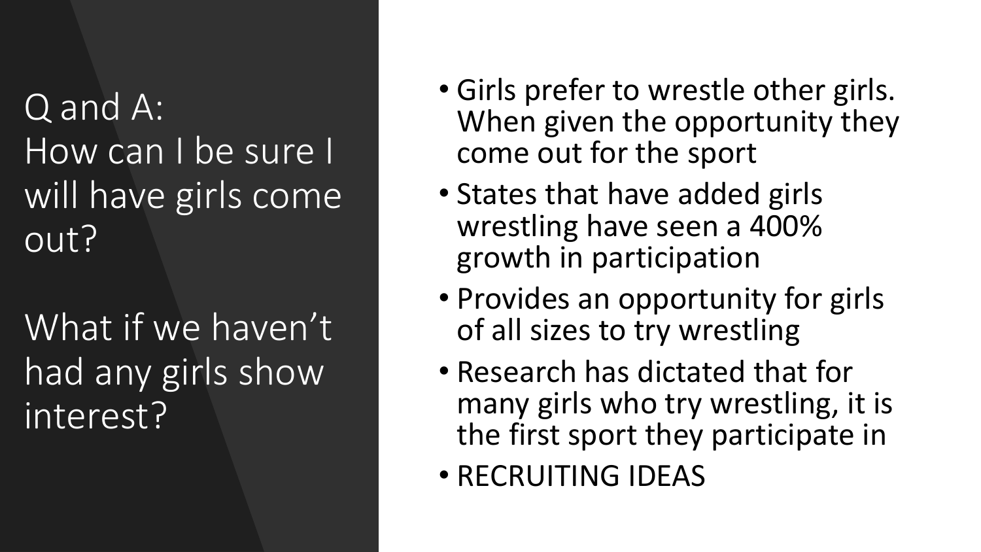### Q and A: How can I be sure I will have girls come out?

What if we haven't had any girls show interest?

- Girls prefer to wrestle other girls. When given the opportunity they come out for the sport
- States that have added girls wrestling have seen a 400% growth in participation
- Provides an opportunity for girls of all sizes to try wrestling
- Research has dictated that for many girls who try wrestling, it is the first sport they participate in
- RECRUITING IDEAS